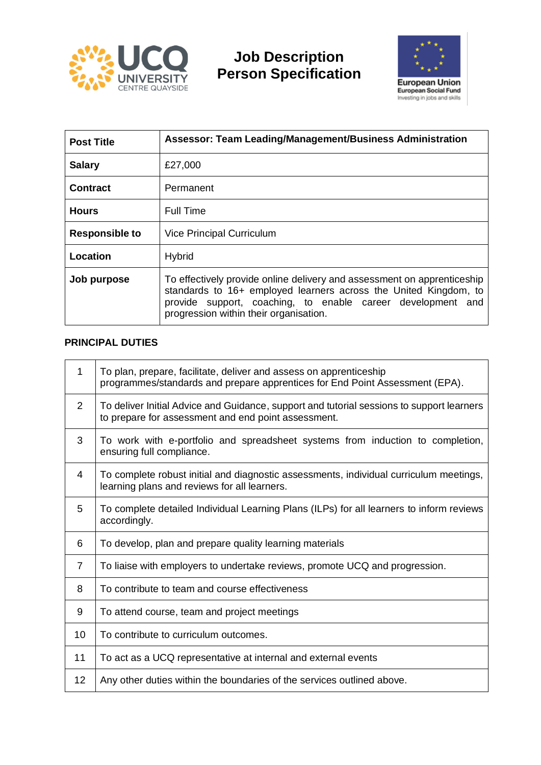

## **Job Description Person Specification**



| <b>Post Title</b>     | Assessor: Team Leading/Management/Business Administration                                                                                                                                                                                            |  |
|-----------------------|------------------------------------------------------------------------------------------------------------------------------------------------------------------------------------------------------------------------------------------------------|--|
| <b>Salary</b>         | £27,000                                                                                                                                                                                                                                              |  |
| <b>Contract</b>       | Permanent                                                                                                                                                                                                                                            |  |
| <b>Hours</b>          | Full Time                                                                                                                                                                                                                                            |  |
| <b>Responsible to</b> | <b>Vice Principal Curriculum</b>                                                                                                                                                                                                                     |  |
| Location              | <b>Hybrid</b>                                                                                                                                                                                                                                        |  |
| Job purpose           | To effectively provide online delivery and assessment on apprenticeship<br>standards to 16+ employed learners across the United Kingdom, to<br>provide support, coaching, to enable career development and<br>progression within their organisation. |  |

## **PRINCIPAL DUTIES**

| 1              | To plan, prepare, facilitate, deliver and assess on apprenticeship<br>programmes/standards and prepare apprentices for End Point Assessment (EPA). |
|----------------|----------------------------------------------------------------------------------------------------------------------------------------------------|
| $\overline{2}$ | To deliver Initial Advice and Guidance, support and tutorial sessions to support learners<br>to prepare for assessment and end point assessment.   |
| 3              | To work with e-portfolio and spreadsheet systems from induction to completion,<br>ensuring full compliance.                                        |
| 4              | To complete robust initial and diagnostic assessments, individual curriculum meetings,<br>learning plans and reviews for all learners.             |
| 5              | To complete detailed Individual Learning Plans (ILPs) for all learners to inform reviews<br>accordingly.                                           |
| 6              | To develop, plan and prepare quality learning materials                                                                                            |
| 7              | To liaise with employers to undertake reviews, promote UCQ and progression.                                                                        |
| 8              | To contribute to team and course effectiveness                                                                                                     |
| 9              | To attend course, team and project meetings                                                                                                        |
| 10             | To contribute to curriculum outcomes.                                                                                                              |
| 11             | To act as a UCQ representative at internal and external events                                                                                     |
| 12             | Any other duties within the boundaries of the services outlined above.                                                                             |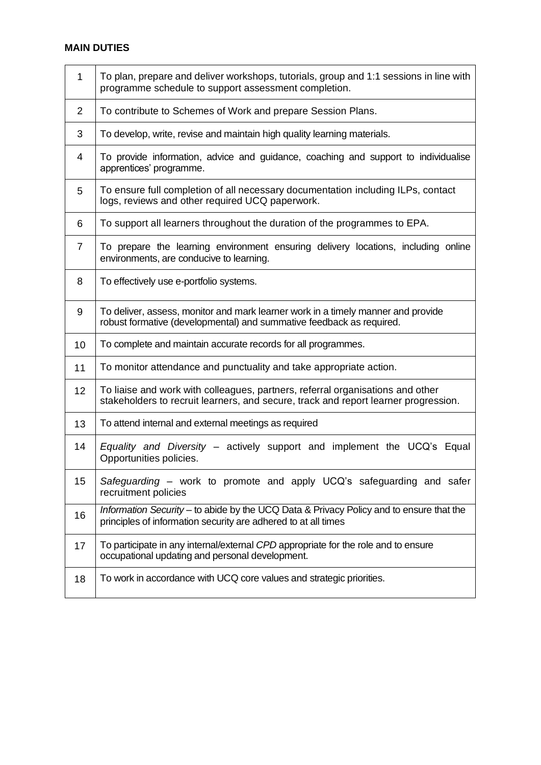## **MAIN DUTIES**

| 1  | To plan, prepare and deliver workshops, tutorials, group and 1:1 sessions in line with<br>programme schedule to support assessment completion.                        |  |  |
|----|-----------------------------------------------------------------------------------------------------------------------------------------------------------------------|--|--|
| 2  | To contribute to Schemes of Work and prepare Session Plans.                                                                                                           |  |  |
| 3  | To develop, write, revise and maintain high quality learning materials.                                                                                               |  |  |
| 4  | To provide information, advice and guidance, coaching and support to individualise<br>apprentices' programme.                                                         |  |  |
| 5  | To ensure full completion of all necessary documentation including ILPs, contact<br>logs, reviews and other required UCQ paperwork.                                   |  |  |
| 6  | To support all learners throughout the duration of the programmes to EPA.                                                                                             |  |  |
| 7  | To prepare the learning environment ensuring delivery locations, including online<br>environments, are conducive to learning.                                         |  |  |
| 8  | To effectively use e-portfolio systems.                                                                                                                               |  |  |
| 9  | To deliver, assess, monitor and mark learner work in a timely manner and provide<br>robust formative (developmental) and summative feedback as required.              |  |  |
| 10 | To complete and maintain accurate records for all programmes.                                                                                                         |  |  |
| 11 | To monitor attendance and punctuality and take appropriate action.                                                                                                    |  |  |
| 12 | To liaise and work with colleagues, partners, referral organisations and other<br>stakeholders to recruit learners, and secure, track and report learner progression. |  |  |
| 13 | To attend internal and external meetings as required                                                                                                                  |  |  |
| 14 | <i>Equality and Diversity – actively support and implement the UCQ's Equal</i><br>Opportunities policies.                                                             |  |  |
| 15 | Safeguarding – work to promote and apply UCQ's safeguarding and safer<br>recruitment policies                                                                         |  |  |
| 16 | Information Security - to abide by the UCQ Data & Privacy Policy and to ensure that the<br>principles of information security are adhered to at all times             |  |  |
| 17 | To participate in any internal/external CPD appropriate for the role and to ensure<br>occupational updating and personal development.                                 |  |  |
| 18 | To work in accordance with UCQ core values and strategic priorities.                                                                                                  |  |  |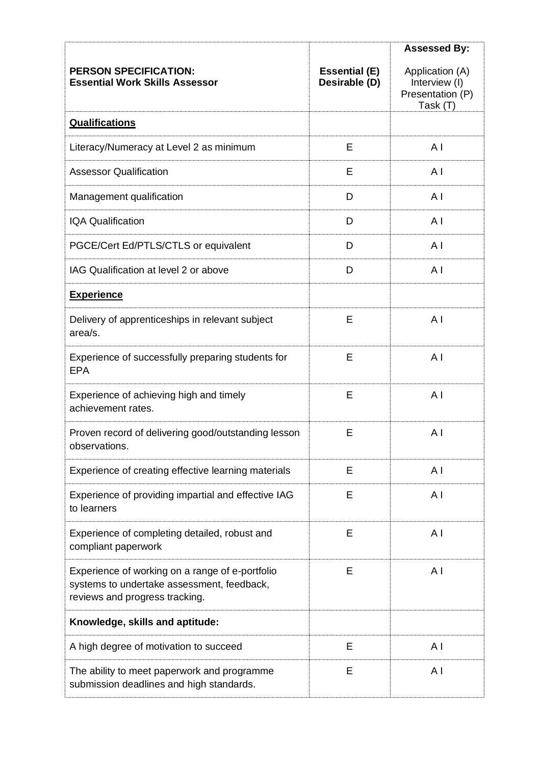|                                                                                                                                 |                                       | <b>Assessed By:</b>                                              |
|---------------------------------------------------------------------------------------------------------------------------------|---------------------------------------|------------------------------------------------------------------|
| <b>PERSON SPECIFICATION:</b><br><b>Essential Work Skills Assessor</b>                                                           | <b>Essential (E)</b><br>Desirable (D) | Application (A)<br>Interview (I)<br>Presentation (P)<br>Task (T) |
| <b>Qualifications</b>                                                                                                           |                                       |                                                                  |
| Literacy/Numeracy at Level 2 as minimum                                                                                         | E                                     | A <sub>1</sub>                                                   |
| <b>Assessor Qualification</b>                                                                                                   | E                                     | A <sub>l</sub>                                                   |
| Management qualification                                                                                                        | D                                     | AI                                                               |
| <b>IQA Qualification</b>                                                                                                        | D                                     | A <sub>l</sub>                                                   |
| PGCE/Cert Ed/PTLS/CTLS or equivalent                                                                                            | D                                     | A <sub>1</sub>                                                   |
| IAG Qualification at level 2 or above                                                                                           | D                                     | A <sub>l</sub>                                                   |
| <b>Experience</b>                                                                                                               |                                       |                                                                  |
| Delivery of apprenticeships in relevant subject<br>area/s.                                                                      | Е                                     | A <sub>l</sub>                                                   |
| Experience of successfully preparing students for<br><b>EPA</b>                                                                 | E                                     | A <sub>1</sub>                                                   |
| Experience of achieving high and timely<br>achievement rates.                                                                   | E                                     | AI                                                               |
| Proven record of delivering good/outstanding lesson<br>observations.                                                            | Е                                     | A <sub>1</sub>                                                   |
| Experience of creating effective learning materials                                                                             | Ε                                     | A I                                                              |
| Experience of providing impartial and effective IAG<br>to learners                                                              | E                                     | A <sub>1</sub>                                                   |
| Experience of completing detailed, robust and<br>compliant paperwork                                                            | E                                     | A I                                                              |
| Experience of working on a range of e-portfolio<br>systems to undertake assessment, feedback,<br>reviews and progress tracking. | Ε                                     | A I                                                              |
| Knowledge, skills and aptitude:                                                                                                 |                                       |                                                                  |
| A high degree of motivation to succeed                                                                                          | E                                     | A I                                                              |
| The ability to meet paperwork and programme<br>submission deadlines and high standards.                                         | E                                     | ΑI                                                               |